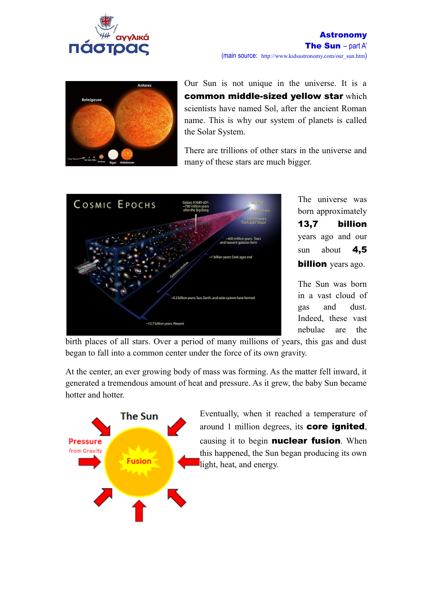



Our Sun is not unique in the universe. It is a common middle-sized yellow star which scientists have named Sol, after the ancient Roman name. This is why our system of planets is called the Solar System.

There are trillions of other stars in the universe and many of these stars are much bigger.



The universe was born approximately 13,7 billion years ago and our sun about  $4,5$ **billion** years ago.

The Sun was born in a vast cloud of gas and dust. Indeed, these vast nebulae are the

birth places of all stars. Over a period of many millions of years, this gas and dust began to fall into a common center under the force of its own gravity.

At the center, an ever growing body of mass was forming. As the matter fell inward, it generated a tremendous amount of heat and pressure. As it grew, the baby Sun became hotter and hotter.



Eventually, when it reached a temperature of around 1 million degrees, its core ignited, causing it to begin **nuclear fusion**. When this happened, the Sun began producing its own light, heat, and energy.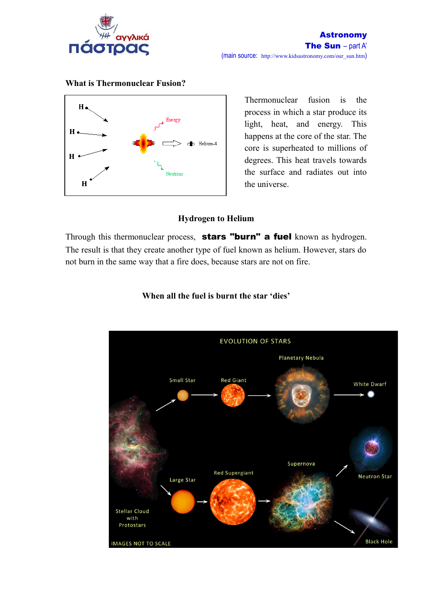



**What is Thermonuclear Fusion?**

Thermonuclear fusion is the process in which a star produce its light, heat, and energy. This happens at the core of the star. The core is superheated to millions of degrees. This heat travels towards the surface and radiates out into the universe.

## **Hydrogen to Helium**

Through this thermonuclear process, stars "burn" a fuel known as hydrogen. The result is that they create another type of fuel known as helium. However, stars do not burn in the same way that a fire does, because stars are not on fire.



## **When all the fuel is burnt the star 'dies'**